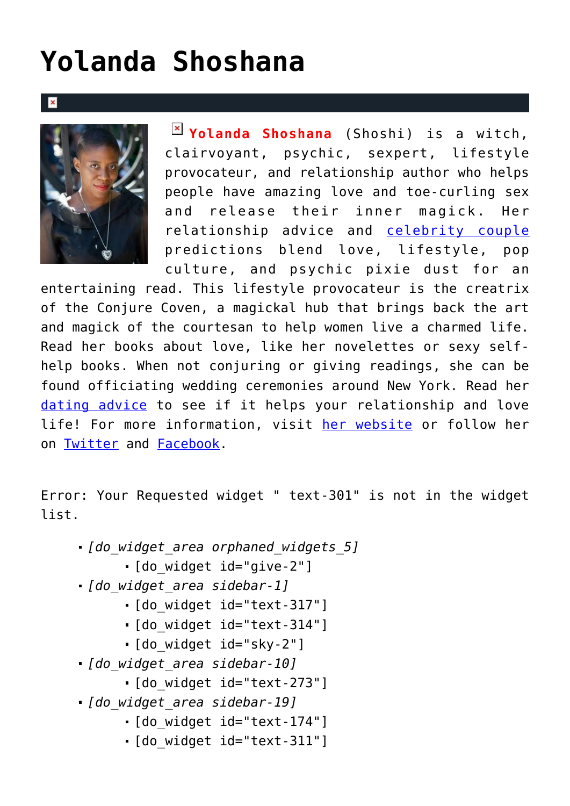## **[Yolanda Shoshana](https://cupidspulse.com/relationship-experts/yolanda-shoshana/)**





**Yolanda Shoshana** (Shoshi) is a witch, clairvoyant, psychic, sexpert, lifestyle provocateur, and relationship author who helps people have amazing love and toe-curling sex and release their inner magick. Her relationship advice and [celebrity couple](http://cupidspulse.com/celebrity-relationships/celebrity-vacations/) predictions blend love, lifestyle, pop culture, and psychic pixie dust for an

entertaining read. This lifestyle provocateur is the creatrix of the Conjure Coven, a magickal hub that brings back the art and magick of the courtesan to help women live a charmed life. Read her books about love, like her novelettes or sexy selfhelp books. When not conjuring or giving readings, she can be found officiating wedding ceremonies around New York. Read her [dating advice](http://cupidspulse.com/relationship-experts/) to see if it helps your relationship and love life! For more information, visit [her website](http://www.yolandashoshana.com) or follow her on [Twitter](https://twitter.com/Shoshi) and [Facebook](https://www.facebook.com/xoxoYS).

Error: Your Requested widget " text-301" is not in the widget list.

- *[do\_widget\_area orphaned\_widgets\_5]*
	- [do\_widget id="give-2"]
- *[do\_widget\_area sidebar-1]*
	- [do\_widget id="text-317"]
	- [do\_widget id="text-314"]
	- [do\_widget id="sky-2"]
- *[do\_widget\_area sidebar-10]*
	- [do\_widget id="text-273"]
- *[do\_widget\_area sidebar-19]*
	- [do\_widget id="text-174"]
	- [do\_widget id="text-311"]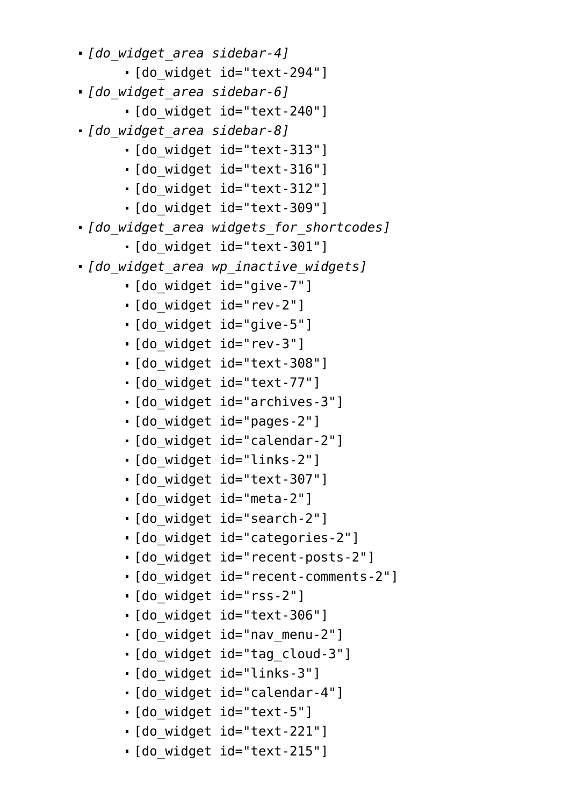- *[do\_widget\_area sidebar-4]*
	- [do\_widget id="text-294"]
- *[do\_widget\_area sidebar-6]*
	- [do\_widget id="text-240"]
- *[do\_widget\_area sidebar-8]*
	- [do\_widget id="text-313"]
	- [do\_widget id="text-316"]
	- [do\_widget id="text-312"]
	- [do\_widget id="text-309"]
- *[do\_widget\_area widgets\_for\_shortcodes]*
	- · [do widget id="text-301"]
- *[do\_widget\_area wp\_inactive\_widgets]*
	- [do\_widget id="give-7"]
	- [do\_widget id="rev-2"]
	- [do\_widget id="give-5"]
	- [do\_widget id="rev-3"]
	- [do\_widget id="text-308"]
	- [do\_widget id="text-77"]
	- [do\_widget id="archives-3"]
	- [do\_widget id="pages-2"]
	- [do\_widget id="calendar-2"]
	- [do\_widget id="links-2"]
	- [do\_widget id="text-307"]
	- [do\_widget id="meta-2"]
	- [do\_widget id="search-2"]
	- [do\_widget id="categories-2"]
	- [do\_widget id="recent-posts-2"]
	- [do\_widget id="recent-comments-2"]
	- [do\_widget id="rss-2"]
	- [do\_widget id="text-306"]
	- [do\_widget id="nav\_menu-2"]
	- [do\_widget id="tag\_cloud-3"]
	- [do\_widget id="links-3"]
	- [do\_widget id="calendar-4"]
	- [do\_widget id="text-5"]
	- [do\_widget id="text-221"]
	- [do\_widget id="text-215"]